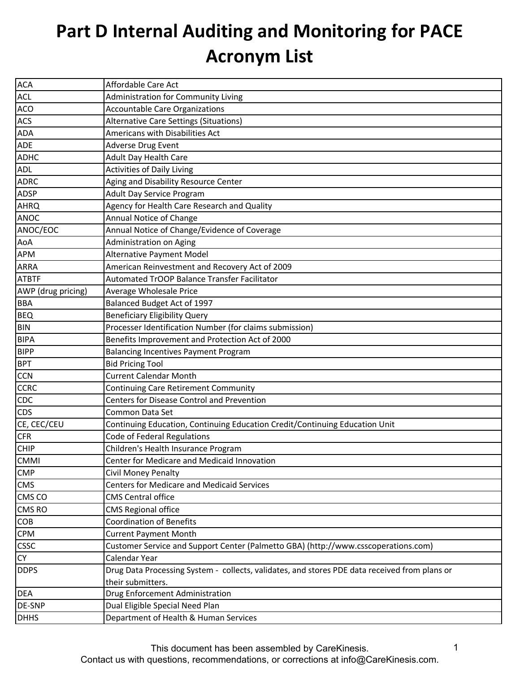| <b>ACA</b>         | Affordable Care Act                                                                           |
|--------------------|-----------------------------------------------------------------------------------------------|
| <b>ACL</b>         | <b>Administration for Community Living</b>                                                    |
| <b>ACO</b>         | <b>Accountable Care Organizations</b>                                                         |
| ACS                | Alternative Care Settings (Situations)                                                        |
| <b>ADA</b>         | Americans with Disabilities Act                                                               |
| <b>ADE</b>         | Adverse Drug Event                                                                            |
| <b>ADHC</b>        | Adult Day Health Care                                                                         |
| <b>ADL</b>         | <b>Activities of Daily Living</b>                                                             |
| <b>ADRC</b>        | Aging and Disability Resource Center                                                          |
| <b>ADSP</b>        | <b>Adult Day Service Program</b>                                                              |
| <b>AHRQ</b>        | Agency for Health Care Research and Quality                                                   |
| <b>ANOC</b>        | Annual Notice of Change                                                                       |
| ANOC/EOC           | Annual Notice of Change/Evidence of Coverage                                                  |
| AoA                | Administration on Aging                                                                       |
| <b>APM</b>         | Alternative Payment Model                                                                     |
| <b>ARRA</b>        | American Reinvestment and Recovery Act of 2009                                                |
| <b>ATBTF</b>       | Automated TrOOP Balance Transfer Facilitator                                                  |
| AWP (drug pricing) | Average Wholesale Price                                                                       |
| <b>BBA</b>         | Balanced Budget Act of 1997                                                                   |
| <b>BEQ</b>         | <b>Beneficiary Eligibility Query</b>                                                          |
| <b>BIN</b>         | Processer Identification Number (for claims submission)                                       |
| <b>BIPA</b>        | Benefits Improvement and Protection Act of 2000                                               |
| <b>BIPP</b>        | <b>Balancing Incentives Payment Program</b>                                                   |
| <b>BPT</b>         | <b>Bid Pricing Tool</b>                                                                       |
| <b>CCN</b>         | <b>Current Calendar Month</b>                                                                 |
| <b>CCRC</b>        | <b>Continuing Care Retirement Community</b>                                                   |
| <b>CDC</b>         | Centers for Disease Control and Prevention                                                    |
| <b>CDS</b>         | Common Data Set                                                                               |
| CE, CEC/CEU        | Continuing Education, Continuing Education Credit/Continuing Education Unit                   |
| <b>CFR</b>         | Code of Federal Regulations                                                                   |
| <b>CHIP</b>        | Children's Health Insurance Program                                                           |
| <b>CMMI</b>        | Center for Medicare and Medicaid Innovation                                                   |
| <b>CMP</b>         | Civil Money Penalty                                                                           |
| <b>CMS</b>         | <b>Centers for Medicare and Medicaid Services</b>                                             |
| CMS CO             | <b>CMS Central office</b>                                                                     |
| <b>CMS RO</b>      | <b>CMS Regional office</b>                                                                    |
| <b>COB</b>         | <b>Coordination of Benefits</b>                                                               |
| <b>CPM</b>         | <b>Current Payment Month</b>                                                                  |
| <b>CSSC</b>        | Customer Service and Support Center (Palmetto GBA) (http://www.csscoperations.com)            |
| <b>CY</b>          | Calendar Year                                                                                 |
| <b>DDPS</b>        | Drug Data Processing System - collects, validates, and stores PDE data received from plans or |
|                    | their submitters.                                                                             |
| <b>DEA</b>         | Drug Enforcement Administration                                                               |
| <b>DE-SNP</b>      | Dual Eligible Special Need Plan                                                               |
| <b>DHHS</b>        | Department of Health & Human Services                                                         |

This document has been assembled by CareKinesis.

Contact us with questions, recommendations, or corrections at info@CareKinesis.com.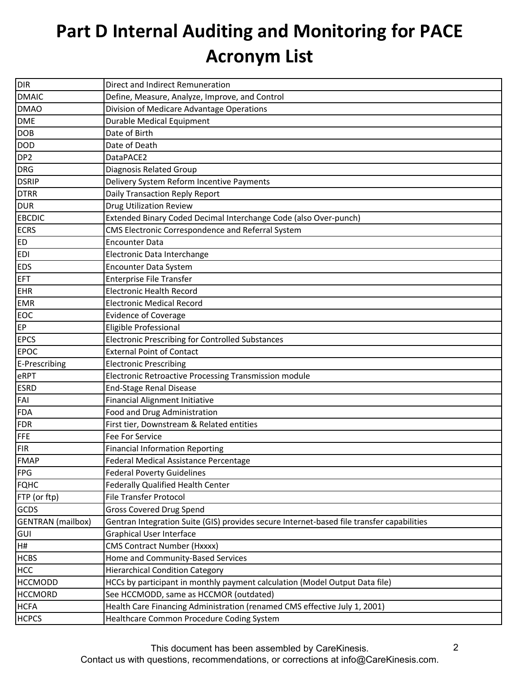| <b>DIR</b>               | Direct and Indirect Remuneration                                                          |
|--------------------------|-------------------------------------------------------------------------------------------|
| <b>DMAIC</b>             | Define, Measure, Analyze, Improve, and Control                                            |
| <b>DMAO</b>              | Division of Medicare Advantage Operations                                                 |
| <b>DME</b>               | <b>Durable Medical Equipment</b>                                                          |
| <b>DOB</b>               | Date of Birth                                                                             |
| <b>DOD</b>               | Date of Death                                                                             |
| DP <sub>2</sub>          | DataPACE2                                                                                 |
| <b>DRG</b>               | Diagnosis Related Group                                                                   |
| <b>DSRIP</b>             | Delivery System Reform Incentive Payments                                                 |
| <b>DTRR</b>              | Daily Transaction Reply Report                                                            |
| <b>DUR</b>               | <b>Drug Utilization Review</b>                                                            |
| <b>EBCDIC</b>            | Extended Binary Coded Decimal Interchange Code (also Over-punch)                          |
| <b>ECRS</b>              | CMS Electronic Correspondence and Referral System                                         |
| <b>ED</b>                | <b>Encounter Data</b>                                                                     |
| <b>EDI</b>               | Electronic Data Interchange                                                               |
| <b>EDS</b>               | <b>Encounter Data System</b>                                                              |
| <b>EFT</b>               | <b>Enterprise File Transfer</b>                                                           |
| <b>EHR</b>               | <b>Electronic Health Record</b>                                                           |
| <b>EMR</b>               | <b>Electronic Medical Record</b>                                                          |
| <b>EOC</b>               | <b>Evidence of Coverage</b>                                                               |
| EP                       | Eligible Professional                                                                     |
| <b>EPCS</b>              | <b>Electronic Prescribing for Controlled Substances</b>                                   |
| <b>EPOC</b>              | <b>External Point of Contact</b>                                                          |
| E-Prescribing            | <b>Electronic Prescribing</b>                                                             |
| eRPT                     | Electronic Retroactive Processing Transmission module                                     |
| <b>ESRD</b>              | <b>End-Stage Renal Disease</b>                                                            |
| FAI                      | <b>Financial Alignment Initiative</b>                                                     |
| <b>FDA</b>               | Food and Drug Administration                                                              |
| <b>FDR</b>               | First tier, Downstream & Related entities                                                 |
| FFE                      | Fee For Service                                                                           |
| <b>FIR</b>               | <b>Financial Information Reporting</b>                                                    |
| <b>FMAP</b>              | Federal Medical Assistance Percentage                                                     |
| <b>FPG</b>               | <b>Federal Poverty Guidelines</b>                                                         |
| <b>FQHC</b>              | Federally Qualified Health Center                                                         |
| FTP (or ftp)             | <b>File Transfer Protocol</b>                                                             |
| <b>GCDS</b>              | <b>Gross Covered Drug Spend</b>                                                           |
| <b>GENTRAN</b> (mailbox) | Gentran Integration Suite (GIS) provides secure Internet-based file transfer capabilities |
| <b>GUI</b>               | <b>Graphical User Interface</b>                                                           |
| H#                       | <b>CMS Contract Number (Hxxxx)</b>                                                        |
| <b>HCBS</b>              | Home and Community-Based Services                                                         |
| <b>HCC</b>               | <b>Hierarchical Condition Category</b>                                                    |
| <b>HCCMODD</b>           | HCCs by participant in monthly payment calculation (Model Output Data file)               |
| <b>HCCMORD</b>           | See HCCMODD, same as HCCMOR (outdated)                                                    |
| <b>HCFA</b>              | Health Care Financing Administration (renamed CMS effective July 1, 2001)                 |
| <b>HCPCS</b>             | Healthcare Common Procedure Coding System                                                 |

This document has been assembled by CareKinesis.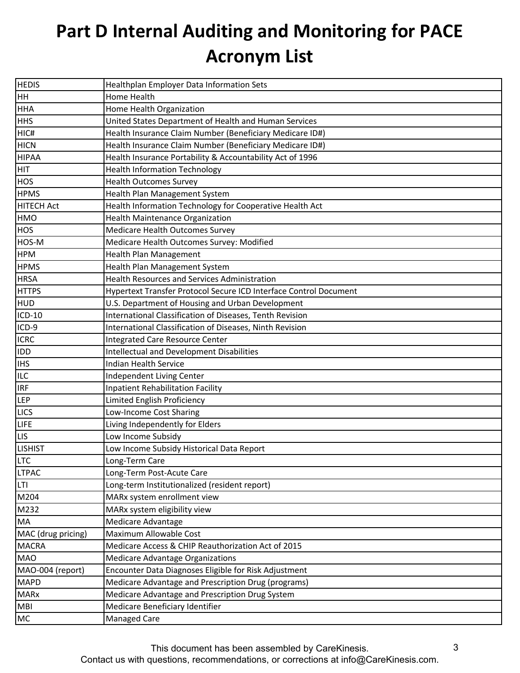| <b>HEDIS</b>       | Healthplan Employer Data Information Sets                         |
|--------------------|-------------------------------------------------------------------|
| <b>HH</b>          | Home Health                                                       |
| <b>HHA</b>         | Home Health Organization                                          |
| <b>HHS</b>         | United States Department of Health and Human Services             |
| HIC#               | Health Insurance Claim Number (Beneficiary Medicare ID#)          |
| <b>HICN</b>        | Health Insurance Claim Number (Beneficiary Medicare ID#)          |
| <b>HIPAA</b>       | Health Insurance Portability & Accountability Act of 1996         |
| <b>HIT</b>         | <b>Health Information Technology</b>                              |
| <b>HOS</b>         | <b>Health Outcomes Survey</b>                                     |
| <b>HPMS</b>        | Health Plan Management System                                     |
| <b>HITECH Act</b>  | Health Information Technology for Cooperative Health Act          |
| <b>HMO</b>         | Health Maintenance Organization                                   |
| <b>HOS</b>         | Medicare Health Outcomes Survey                                   |
| HOS-M              | Medicare Health Outcomes Survey: Modified                         |
| <b>HPM</b>         | Health Plan Management                                            |
| <b>HPMS</b>        | Health Plan Management System                                     |
| <b>HRSA</b>        | <b>Health Resources and Services Administration</b>               |
| <b>HTTPS</b>       | Hypertext Transfer Protocol Secure ICD Interface Control Document |
| <b>HUD</b>         | U.S. Department of Housing and Urban Development                  |
| ICD-10             | International Classification of Diseases, Tenth Revision          |
| ICD-9              | International Classification of Diseases, Ninth Revision          |
| <b>ICRC</b>        | <b>Integrated Care Resource Center</b>                            |
| <b>IDD</b>         | <b>Intellectual and Development Disabilities</b>                  |
| <b>IHS</b>         | <b>Indian Health Service</b>                                      |
| <b>ILC</b>         | Independent Living Center                                         |
| <b>IRF</b>         | <b>Inpatient Rehabilitation Facility</b>                          |
| <b>LEP</b>         | Limited English Proficiency                                       |
| <b>LICS</b>        | Low-Income Cost Sharing                                           |
| <b>LIFE</b>        | Living Independently for Elders                                   |
| <b>LIS</b>         | Low Income Subsidy                                                |
| <b>LISHIST</b>     | Low Income Subsidy Historical Data Report                         |
| <b>LTC</b>         | Long-Term Care                                                    |
| <b>LTPAC</b>       | Long-Term Post-Acute Care                                         |
| <b>LTI</b>         | Long-term Institutionalized (resident report)                     |
| M204               | MARx system enrollment view                                       |
| M232               | MARx system eligibility view                                      |
| <b>MA</b>          | Medicare Advantage                                                |
| MAC (drug pricing) | Maximum Allowable Cost                                            |
| <b>MACRA</b>       | Medicare Access & CHIP Reauthorization Act of 2015                |
| <b>MAO</b>         | <b>Medicare Advantage Organizations</b>                           |
| MAO-004 (report)   | Encounter Data Diagnoses Eligible for Risk Adjustment             |
| <b>MAPD</b>        | Medicare Advantage and Prescription Drug (programs)               |
| <b>MARx</b>        | Medicare Advantage and Prescription Drug System                   |
| <b>MBI</b>         | Medicare Beneficiary Identifier                                   |
| MC                 | Managed Care                                                      |

This document has been assembled by CareKinesis.

Contact us with questions, recommendations, or corrections at info@CareKinesis.com.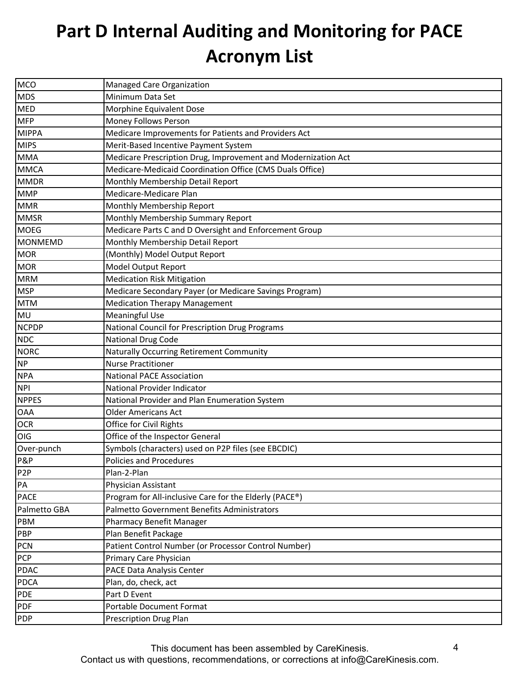| MCO              | Managed Care Organization                                     |
|------------------|---------------------------------------------------------------|
| <b>MDS</b>       | Minimum Data Set                                              |
| <b>MED</b>       | Morphine Equivalent Dose                                      |
| <b>MFP</b>       | Money Follows Person                                          |
| <b>MIPPA</b>     | Medicare Improvements for Patients and Providers Act          |
| <b>MIPS</b>      | Merit-Based Incentive Payment System                          |
| <b>MMA</b>       | Medicare Prescription Drug, Improvement and Modernization Act |
| <b>MMCA</b>      | Medicare-Medicaid Coordination Office (CMS Duals Office)      |
| <b>MMDR</b>      | Monthly Membership Detail Report                              |
| <b>MMP</b>       | Medicare-Medicare Plan                                        |
| <b>MMR</b>       | Monthly Membership Report                                     |
| <b>MMSR</b>      | Monthly Membership Summary Report                             |
| <b>MOEG</b>      | Medicare Parts C and D Oversight and Enforcement Group        |
| <b>MONMEMD</b>   | Monthly Membership Detail Report                              |
| <b>MOR</b>       | (Monthly) Model Output Report                                 |
| <b>MOR</b>       | Model Output Report                                           |
| <b>MRM</b>       | <b>Medication Risk Mitigation</b>                             |
| <b>MSP</b>       | Medicare Secondary Payer (or Medicare Savings Program)        |
| <b>MTM</b>       | <b>Medication Therapy Management</b>                          |
| MU               | <b>Meaningful Use</b>                                         |
| <b>NCPDP</b>     | National Council for Prescription Drug Programs               |
| <b>NDC</b>       | National Drug Code                                            |
| <b>NORC</b>      | Naturally Occurring Retirement Community                      |
| <b>NP</b>        | <b>Nurse Practitioner</b>                                     |
| <b>NPA</b>       | <b>National PACE Association</b>                              |
| <b>NPI</b>       | National Provider Indicator                                   |
| <b>NPPES</b>     | National Provider and Plan Enumeration System                 |
| <b>OAA</b>       | <b>Older Americans Act</b>                                    |
| <b>OCR</b>       | Office for Civil Rights                                       |
| OIG              | Office of the Inspector General                               |
| Over-punch       | Symbols (characters) used on P2P files (see EBCDIC)           |
| P&P              | Policies and Procedures                                       |
| P <sub>2</sub> P | Plan-2-Plan                                                   |
| PA               | Physician Assistant                                           |
| <b>PACE</b>      | Program for All-inclusive Care for the Elderly (PACE®)        |
| Palmetto GBA     | Palmetto Government Benefits Administrators                   |
| PBM              | <b>Pharmacy Benefit Manager</b>                               |
| PBP              | Plan Benefit Package                                          |
| <b>PCN</b>       | Patient Control Number (or Processor Control Number)          |
| <b>PCP</b>       | Primary Care Physician                                        |
| <b>PDAC</b>      | PACE Data Analysis Center                                     |
| <b>PDCA</b>      | Plan, do, check, act                                          |
| PDE              | Part D Event                                                  |
| <b>PDF</b>       | Portable Document Format                                      |
| <b>PDP</b>       | <b>Prescription Drug Plan</b>                                 |

This document has been assembled by CareKinesis. Contact us with questions, recommendations, or corrections at info@CareKinesis.com.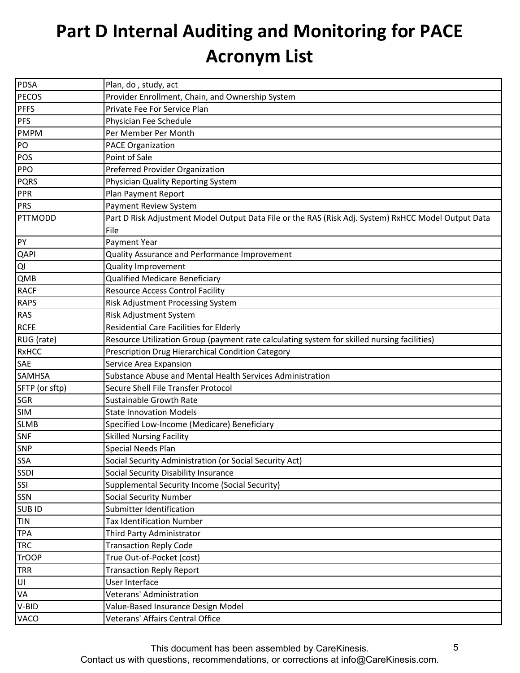| <b>PDSA</b>    | Plan, do, study, act                                                                                |
|----------------|-----------------------------------------------------------------------------------------------------|
| <b>PECOS</b>   | Provider Enrollment, Chain, and Ownership System                                                    |
| <b>PFFS</b>    | Private Fee For Service Plan                                                                        |
| <b>PFS</b>     | Physician Fee Schedule                                                                              |
| <b>PMPM</b>    | Per Member Per Month                                                                                |
| PO             | <b>PACE Organization</b>                                                                            |
| POS            | Point of Sale                                                                                       |
| PPO            | Preferred Provider Organization                                                                     |
| <b>PQRS</b>    | Physician Quality Reporting System                                                                  |
| PPR            | Plan Payment Report                                                                                 |
| PRS            | Payment Review System                                                                               |
| PTTMODD        | Part D Risk Adjustment Model Output Data File or the RAS (Risk Adj. System) RxHCC Model Output Data |
|                | File                                                                                                |
| PY             | Payment Year                                                                                        |
| <b>QAPI</b>    | Quality Assurance and Performance Improvement                                                       |
| QI             | <b>Quality Improvement</b>                                                                          |
| QMB            | <b>Qualified Medicare Beneficiary</b>                                                               |
| <b>RACF</b>    | <b>Resource Access Control Facility</b>                                                             |
| <b>RAPS</b>    | Risk Adjustment Processing System                                                                   |
| <b>RAS</b>     | Risk Adjustment System                                                                              |
| <b>RCFE</b>    | <b>Residential Care Facilities for Elderly</b>                                                      |
| RUG (rate)     | Resource Utilization Group (payment rate calculating system for skilled nursing facilities)         |
| <b>RxHCC</b>   | Prescription Drug Hierarchical Condition Category                                                   |
| SAE            | Service Area Expansion                                                                              |
| <b>SAMHSA</b>  | Substance Abuse and Mental Health Services Administration                                           |
| SFTP (or sftp) | Secure Shell File Transfer Protocol                                                                 |
| <b>SGR</b>     | <b>Sustainable Growth Rate</b>                                                                      |
| <b>SIM</b>     | <b>State Innovation Models</b>                                                                      |
| <b>SLMB</b>    | Specified Low-Income (Medicare) Beneficiary                                                         |
| <b>SNF</b>     | <b>Skilled Nursing Facility</b>                                                                     |
| <b>SNP</b>     | Special Needs Plan                                                                                  |
| <b>SSA</b>     | Social Security Administration (or Social Security Act)                                             |
| SSDI           | Social Security Disability Insurance                                                                |
| SSI            | Supplemental Security Income (Social Security)                                                      |
| <b>SSN</b>     | <b>Social Security Number</b>                                                                       |
| <b>SUBID</b>   | Submitter Identification                                                                            |
| <b>TIN</b>     | <b>Tax Identification Number</b>                                                                    |
| <b>TPA</b>     | Third Party Administrator                                                                           |
| <b>TRC</b>     | <b>Transaction Reply Code</b>                                                                       |
| <b>TrOOP</b>   | True Out-of-Pocket (cost)                                                                           |
| <b>TRR</b>     | <b>Transaction Reply Report</b>                                                                     |
| UI             | User Interface                                                                                      |
| VA             | Veterans' Administration                                                                            |
| V-BID          | Value-Based Insurance Design Model                                                                  |
| <b>VACO</b>    | Veterans' Affairs Central Office                                                                    |

This document has been assembled by CareKinesis. Contact us with questions, recommendations, or corrections at info@CareKinesis.com.